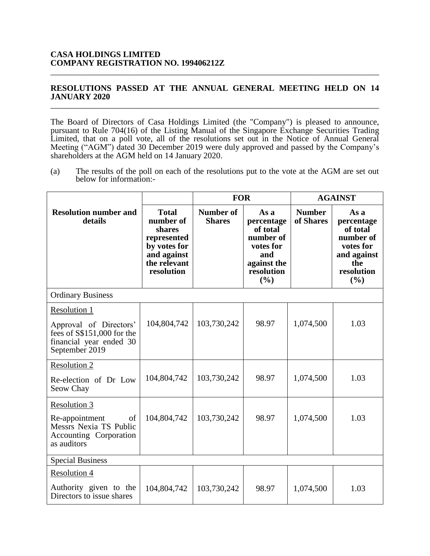## **RESOLUTIONS PASSED AT THE ANNUAL GENERAL MEETING HELD ON 14 JANUARY 2020** \_\_\_\_\_\_\_\_\_\_\_\_\_\_\_\_\_\_\_\_\_\_\_\_\_\_\_\_\_\_\_\_\_\_\_\_\_\_\_\_\_\_\_\_\_\_\_\_\_\_\_\_\_\_\_\_\_\_\_\_\_\_\_\_\_\_\_\_\_\_\_\_\_\_\_\_\_\_

\_\_\_\_\_\_\_\_\_\_\_\_\_\_\_\_\_\_\_\_\_\_\_\_\_\_\_\_\_\_\_\_\_\_\_\_\_\_\_\_\_\_\_\_\_\_\_\_\_\_\_\_\_\_\_\_\_\_\_\_\_\_\_\_\_\_\_\_\_\_\_\_\_\_\_\_\_\_

The Board of Directors of Casa Holdings Limited (the "Company") is pleased to announce, pursuant to Rule 704(16) of the Listing Manual of the Singapore Exchange Securities Trading Limited, that on a poll vote, all of the resolutions set out in the Notice of Annual General Meeting ("AGM") dated 30 December 2019 were duly approved and passed by the Company's shareholders at the AGM held on 14 January 2020.

(a) The results of the poll on each of the resolutions put to the vote at the AGM are set out below for information:-

|                                                                                                                    |                                                                                                                 | <b>FOR</b>                        |                                                                                                     | <b>AGAINST</b>             |                                                                                                     |
|--------------------------------------------------------------------------------------------------------------------|-----------------------------------------------------------------------------------------------------------------|-----------------------------------|-----------------------------------------------------------------------------------------------------|----------------------------|-----------------------------------------------------------------------------------------------------|
| <b>Resolution number and</b><br>details                                                                            | <b>Total</b><br>number of<br>shares<br>represented<br>by votes for<br>and against<br>the relevant<br>resolution | <b>Number of</b><br><b>Shares</b> | As a<br>percentage<br>of total<br>number of<br>votes for<br>and<br>against the<br>resolution<br>(%) | <b>Number</b><br>of Shares | As a<br>percentage<br>of total<br>number of<br>votes for<br>and against<br>the<br>resolution<br>(%) |
| <b>Ordinary Business</b>                                                                                           |                                                                                                                 |                                   |                                                                                                     |                            |                                                                                                     |
| Resolution 1<br>Approval of Directors'<br>fees of \$\$151,000 for the<br>financial year ended 30<br>September 2019 | 104,804,742                                                                                                     | 103,730,242                       | 98.97                                                                                               | 1,074,500                  | 1.03                                                                                                |
| <b>Resolution 2</b><br>Re-election of Dr Low<br>Seow Chay                                                          | 104,804,742                                                                                                     | 103,730,242                       | 98.97                                                                                               | 1,074,500                  | 1.03                                                                                                |
| Resolution 3<br>Re-appointment<br>of<br>Messrs Nexia TS Public<br>Accounting Corporation<br>as auditors            | 104,804,742                                                                                                     | 103,730,242                       | 98.97                                                                                               | 1,074,500                  | 1.03                                                                                                |
| <b>Special Business</b>                                                                                            |                                                                                                                 |                                   |                                                                                                     |                            |                                                                                                     |
| <b>Resolution 4</b><br>Authority given to the<br>Directors to issue shares                                         | 104,804,742                                                                                                     | 103,730,242                       | 98.97                                                                                               | 1,074,500                  | 1.03                                                                                                |